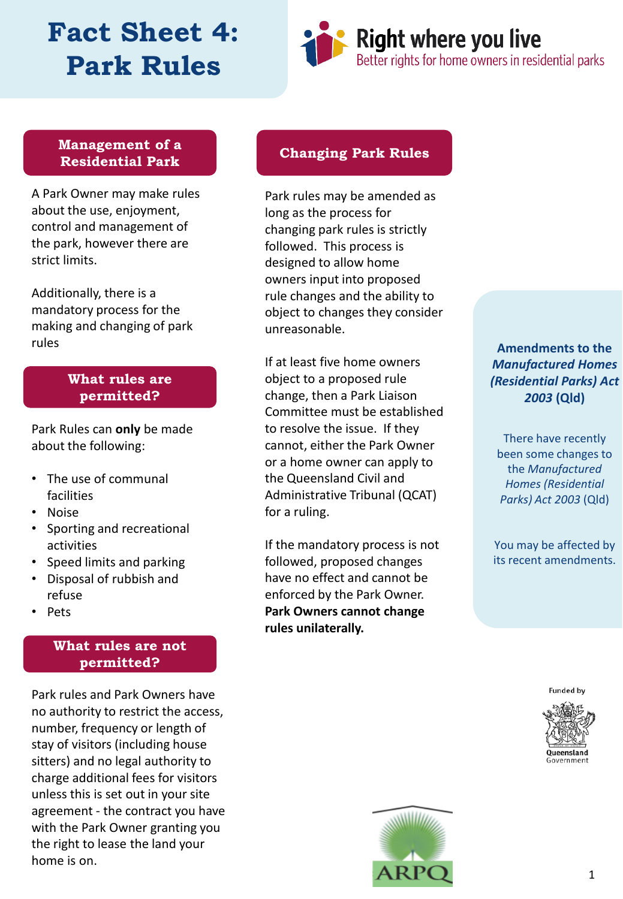# **Fact Sheet 4: Park Rules**



### **Management of a Residential Park**

A Park Owner may make rules about the use, enjoyment, control and management of the park, however there are strict limits.

Additionally, there is a mandatory process for the making and changing of park rules

### **What rules are permitted?**

Park Rules can **only** be made about the following:

- The use of communal facilities
- Noise
- Sporting and recreational activities
- Speed limits and parking
- Disposal of rubbish and refuse
- Pets

### **What rules are not permitted?**

Park rules and Park Owners have no authority to restrict the access, number, frequency or length of stay of visitors (including house sitters) and no legal authority to charge additional fees for visitors unless this is set out in your site agreement - the contract you have with the Park Owner granting you the right to lease the land your home is on.

### **Changing Park Rules**

Park rules may be amended as long as the process for changing park rules is strictly followed. This process is designed to allow home owners input into proposed rule changes and the ability to object to changes they consider unreasonable.

If at least five home owners object to a proposed rule change, then a Park Liaison Committee must be established to resolve the issue. If they cannot, either the Park Owner or a home owner can apply to the Queensland Civil and Administrative Tribunal (QCAT) for a ruling.

If the mandatory process is not followed, proposed changes have no effect and cannot be enforced by the Park Owner. **Park Owners cannot change rules unilaterally.**

**Amendments to the**  *Manufactured Homes (Residential Parks) Act 2003* **(Qld)**

There have recently been some changes to the *Manufactured Homes (Residential Parks) Act 2003* (Qld)

You may be affected by its recent amendments.

**Funded by**